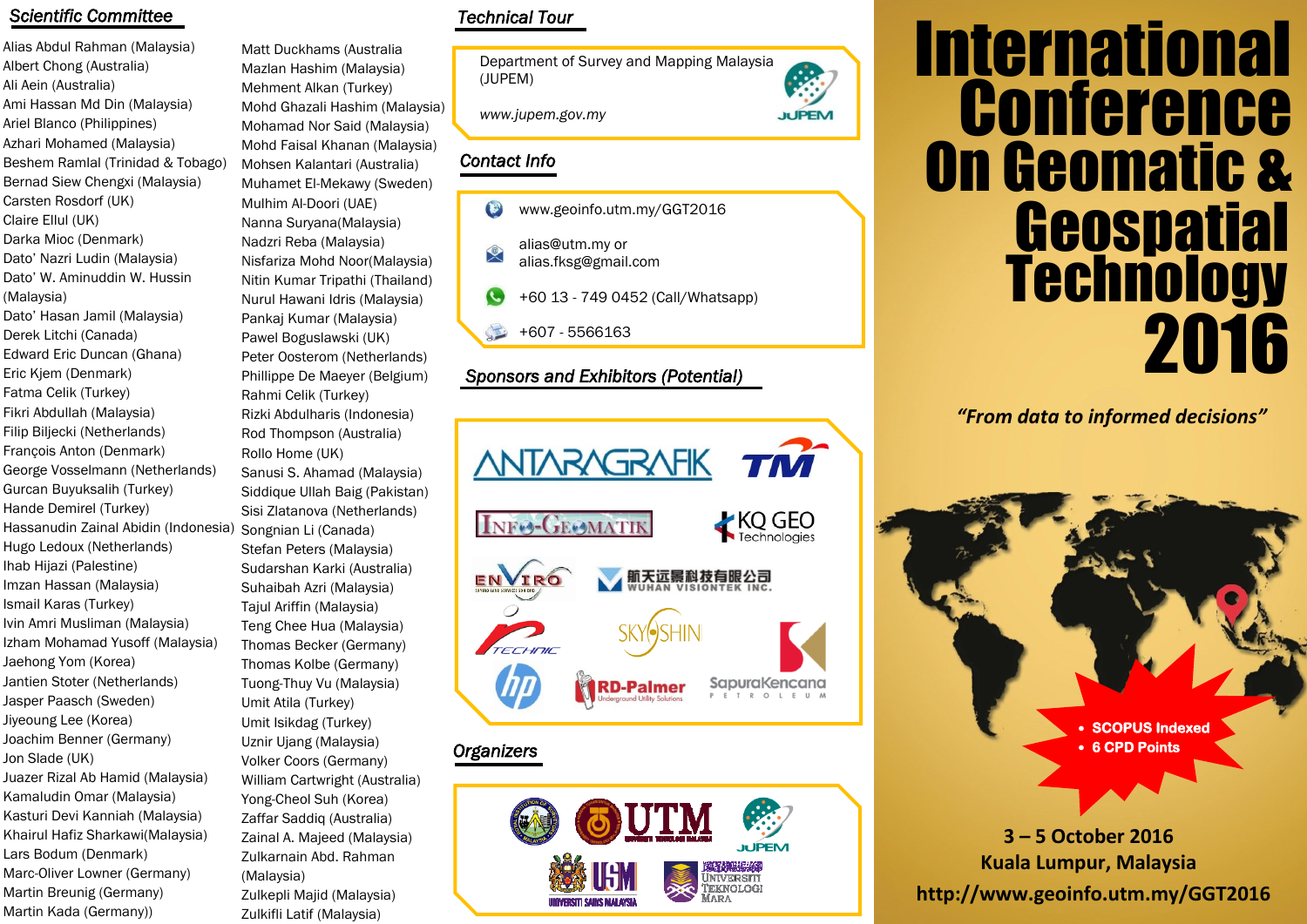#### *Scientific Committee*

Alias Abdul Rahman (Malaysia) Albert Chong (Australia) Ali Aein (Australia) Ami Hassan Md Din (Malaysia) Ariel Blanco (Philippines) Azhari Mohamed (Malaysia) Beshem Ramlal (Trinidad & Tobago) Bernad Siew Chengxi (Malaysia) Carsten Rosdorf (UK) Claire Ellul (UK) Darka Mioc (Denmark) Dato' Nazri Ludin (Malaysia) Dato' W. Aminuddin W. Hussin (Malaysia) Dato' Hasan Jamil (Malaysia) Derek Litchi (Canada) Edward Eric Duncan (Ghana) Eric Kjem (Denmark) Fatma Celik (Turkey) Fikri Abdullah (Malaysia) Filip Biljecki (Netherlands) François Anton (Denmark) George Vosselmann (Netherlands) Gurcan Buyuksalih (Turkey) Hande Demirel (Turkey) Hassanudin Zainal Abidin (Indonesia) Hugo Ledoux (Netherlands) Ihab Hijazi (Palestine) Imzan Hassan (Malaysia) Ismail Karas (Turkey) Ivin Amri Musliman (Malaysia) Izham Mohamad Yusoff (Malaysia) Jaehong Yom (Korea) Jantien Stoter (Netherlands) Jasper Paasch (Sweden) Jiyeoung Lee (Korea) Joachim Benner (Germany) Jon Slade (UK) Juazer Rizal Ab Hamid (Malaysia) Kamaludin Omar (Malaysia) Kasturi Devi Kanniah (Malaysia) Khairul Hafiz Sharkawi(Malaysia) Lars Bodum (Denmark) Marc-Oliver Lowner (Germany) Martin Breunig (Germany) Martin Kada (Germany)) Zulkifli Latif (Malaysia)

Matt Duckhams (Australia Mazlan Hashim (Malaysia) Mehment Alkan (Turkey) Mohd Ghazali Hashim (Malaysia) Mohamad Nor Said (Malaysia) Mohd Faisal Khanan (Malaysia) Mohsen Kalantari (Australia) Muhamet El-Mekawy (Sweden) Mulhim Al-Doori (UAE) Nanna Suryana(Malaysia) Nadzri Reba (Malaysia) Nisfariza Mohd Noor(Malaysia) Nitin Kumar Tripathi (Thailand) Nurul Hawani Idris (Malaysia) Pankaj Kumar (Malaysia) Pawel Boguslawski (UK) Peter Oosterom (Netherlands) Phillippe De Maeyer (Belgium) Rahmi Celik (Turkey) Rizki Abdulharis (Indonesia) Rod Thompson (Australia) Rollo Home (UK) Sanusi S. Ahamad (Malaysia) Siddique Ullah Baig (Pakistan) Sisi Zlatanova (Netherlands) Songnian Li (Canada) Stefan Peters (Malaysia) Sudarshan Karki (Australia) Suhaibah Azri (Malaysia) Tajul Ariffin (Malaysia) Teng Chee Hua (Malaysia) Thomas Becker (Germany) Thomas Kolbe (Germany) Tuong-Thuy Vu (Malaysia) Umit Atila (Turkey) Umit Isikdag (Turkey) Uznir Ujang (Malaysia) Volker Coors (Germany) William Cartwright (Australia) Yong-Cheol Suh (Korea) Zaffar Saddiq (Australia) Zainal A. Majeed (Malaysia) Zulkarnain Abd. Rahman (Malaysia) Zulkepli Majid (Malaysia)

# *Technical Tour*

Department of Survey and Mapping Malaysia (JUPEM)

**JUPEM** 

*www.jupem.gov.my*

# *Contact Info*

- www.geoinfo.utm.my/GGT2016  $\bigcirc$
- alias@utm.my or 叉 alias.fksg@gmail.com
- +60 13 749 0452 (Call/Whatsapp)
- +607 5566163

## *Sponsors and Exhibitors (Potential)*



# *Organizers*



# **Technology** International **Geospatial** 2016 **Conference** On Geomatic &

*"From data to informed decisions"*

**SCOPUS Indexed 6 CPD Points** 

**http://www.geoinfo.utm.my/GGT2016 3 – 5 October 2016 Kuala Lumpur, Malaysia**